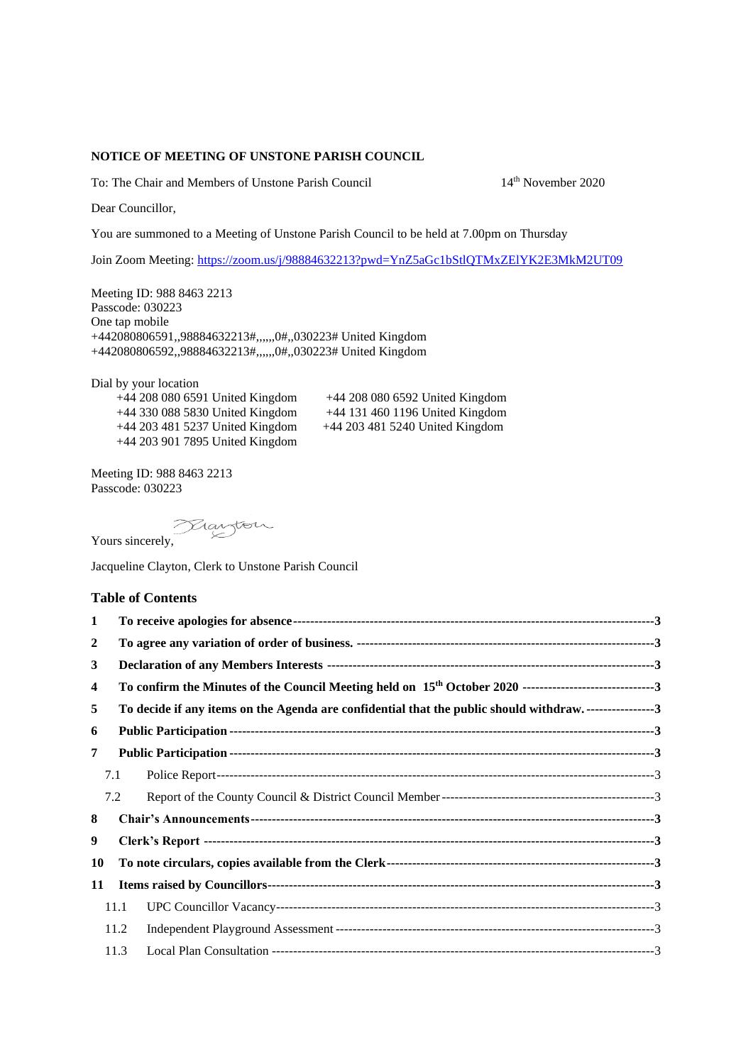## **NOTICE OF MEETING OF UNSTONE PARISH COUNCIL**

To: The Chair and Members of Unstone Parish Council 14<sup>th</sup> November 2020

Dear Councillor,

You are summoned to a Meeting of Unstone Parish Council to be held at 7.00pm on Thursday

Join Zoom Meeting: <https://zoom.us/j/98884632213?pwd=YnZ5aGc1bStlQTMxZElYK2E3MkM2UT09>

Meeting ID: 988 8463 2213 Passcode: 030223 One tap mobile +442080806591,,98884632213#,,,,,,0#,,030223# United Kingdom +442080806592,,98884632213#,,,,,,0#,,030223# United Kingdom

Dial by your location +44 208 080 6591 United Kingdom +44 208 080 6592 United Kingdom +44 330 088 5830 United Kingdom +44 131 460 1196 United Kingdom +44 203 481 5237 United Kingdom +44 203 481 5240 United Kingdom +44 203 901 7895 United Kingdom

Meeting ID: 988 8463 2213 Passcode: 030223

Yours sincerely,

Jacqueline Clayton, Clerk to Unstone Parish Council

## **Table of Contents**

| 1  |      |                                                                                        |  |
|----|------|----------------------------------------------------------------------------------------|--|
| 2  |      |                                                                                        |  |
| 3  |      |                                                                                        |  |
| 4  |      |                                                                                        |  |
| 5  |      | To decide if any items on the Agenda are confidential that the public should withdraw3 |  |
| 6  |      |                                                                                        |  |
| 7  |      |                                                                                        |  |
|    | 7.1  |                                                                                        |  |
|    | 7.2  |                                                                                        |  |
| 8  |      |                                                                                        |  |
| 9  |      |                                                                                        |  |
| 10 |      |                                                                                        |  |
| 11 |      |                                                                                        |  |
|    | 11.1 |                                                                                        |  |
|    | 11.2 |                                                                                        |  |
|    | 11.3 |                                                                                        |  |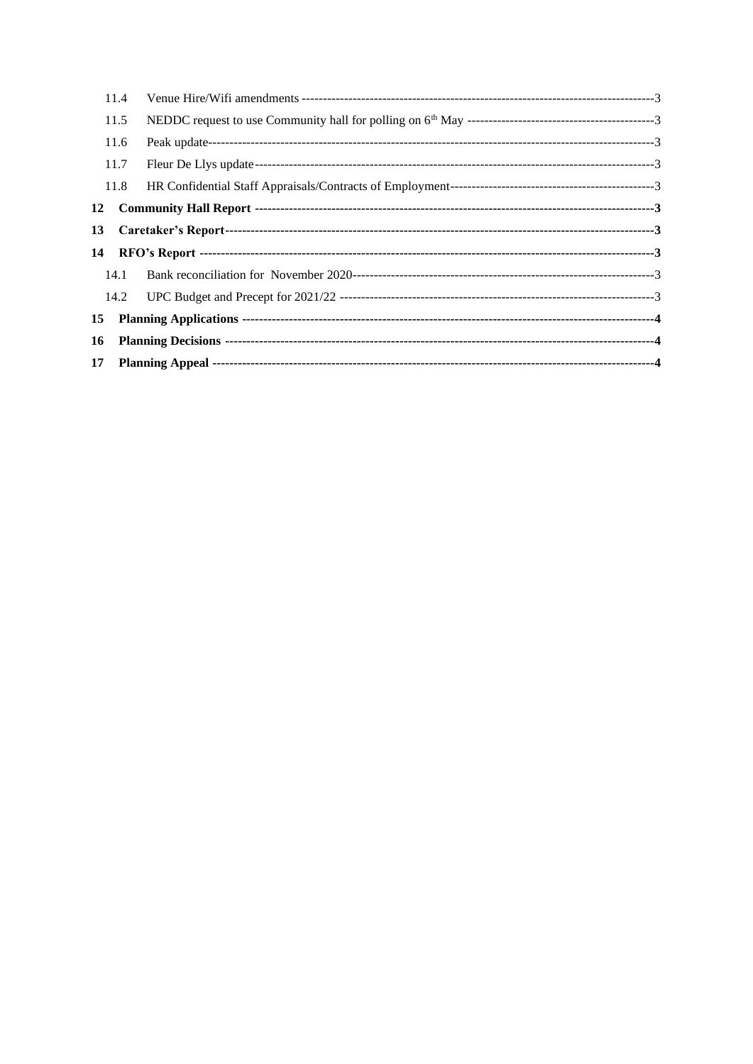|    | 11.4 |  |
|----|------|--|
|    | 11.5 |  |
|    | 11.6 |  |
|    | 11.7 |  |
|    | 11.8 |  |
| 12 |      |  |
| 13 |      |  |
| 14 |      |  |
|    | 14.1 |  |
|    | 14.2 |  |
| 15 |      |  |
| 16 |      |  |
|    |      |  |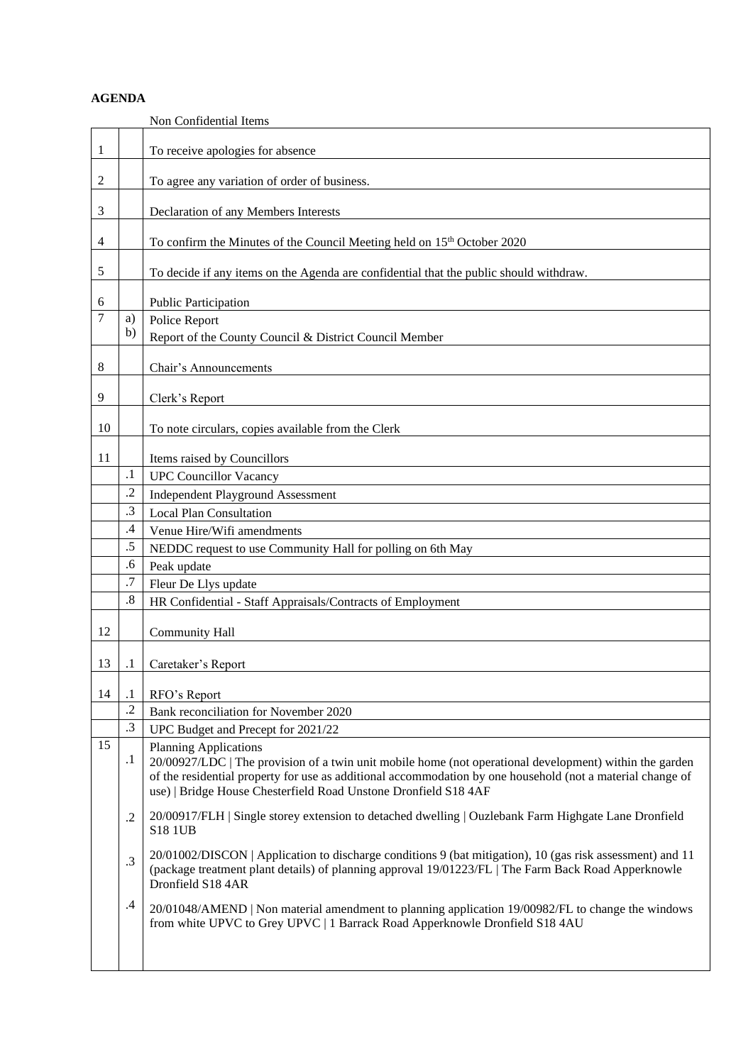## **AGENDA**

<span id="page-2-14"></span><span id="page-2-13"></span><span id="page-2-12"></span><span id="page-2-11"></span><span id="page-2-10"></span><span id="page-2-9"></span><span id="page-2-8"></span><span id="page-2-7"></span><span id="page-2-6"></span><span id="page-2-5"></span><span id="page-2-4"></span><span id="page-2-3"></span><span id="page-2-2"></span><span id="page-2-1"></span><span id="page-2-0"></span>

|    |           | Non Confidential Items                                                                                                                                                                                                                |
|----|-----------|---------------------------------------------------------------------------------------------------------------------------------------------------------------------------------------------------------------------------------------|
| 1  |           | To receive apologies for absence                                                                                                                                                                                                      |
| 2  |           | To agree any variation of order of business.                                                                                                                                                                                          |
|    |           |                                                                                                                                                                                                                                       |
| 3  |           | Declaration of any Members Interests                                                                                                                                                                                                  |
| 4  |           | To confirm the Minutes of the Council Meeting held on 15 <sup>th</sup> October 2020                                                                                                                                                   |
| 5  |           | To decide if any items on the Agenda are confidential that the public should withdraw.                                                                                                                                                |
| 6  |           | Public Participation                                                                                                                                                                                                                  |
| 7  | a)        | Police Report                                                                                                                                                                                                                         |
|    | b)        | Report of the County Council & District Council Member                                                                                                                                                                                |
|    |           |                                                                                                                                                                                                                                       |
| 8  |           | Chair's Announcements                                                                                                                                                                                                                 |
| 9  |           | Clerk's Report                                                                                                                                                                                                                        |
| 10 |           | To note circulars, copies available from the Clerk                                                                                                                                                                                    |
| 11 |           | Items raised by Councillors                                                                                                                                                                                                           |
|    | $\cdot$ 1 | <b>UPC Councillor Vacancy</b>                                                                                                                                                                                                         |
|    | $\cdot$   |                                                                                                                                                                                                                                       |
|    | .3        | <b>Independent Playground Assessment</b>                                                                                                                                                                                              |
|    |           | <b>Local Plan Consultation</b>                                                                                                                                                                                                        |
|    | $\cdot$ 4 | Venue Hire/Wifi amendments                                                                                                                                                                                                            |
|    | .5        | NEDDC request to use Community Hall for polling on 6th May                                                                                                                                                                            |
|    | .6        | Peak update                                                                                                                                                                                                                           |
|    | .7        | Fleur De Llys update                                                                                                                                                                                                                  |
|    | .8        | HR Confidential - Staff Appraisals/Contracts of Employment                                                                                                                                                                            |
| 12 |           | <b>Community Hall</b>                                                                                                                                                                                                                 |
| 13 | $\cdot^1$ | Caretaker's Report                                                                                                                                                                                                                    |
|    |           |                                                                                                                                                                                                                                       |
| 14 | $\cdot$ 1 | RFO's Report                                                                                                                                                                                                                          |
|    | $\cdot$   | Bank reconciliation for November 2020                                                                                                                                                                                                 |
|    | $\cdot$ 3 | UPC Budget and Precept for 2021/22                                                                                                                                                                                                    |
| 15 |           | <b>Planning Applications</b>                                                                                                                                                                                                          |
|    | $\cdot$   | 20/00927/LDC   The provision of a twin unit mobile home (not operational development) within the garden                                                                                                                               |
|    |           | of the residential property for use as additional accommodation by one household (not a material change of                                                                                                                            |
|    |           | use)   Bridge House Chesterfield Road Unstone Dronfield S18 4AF                                                                                                                                                                       |
|    | $\cdot$   | 20/00917/FLH   Single storey extension to detached dwelling   Ouzlebank Farm Highgate Lane Dronfield<br><b>S18 1UB</b>                                                                                                                |
|    |           |                                                                                                                                                                                                                                       |
|    | .3        | 20/01002/DISCON   Application to discharge conditions 9 (bat mitigation), 10 (gas risk assessment) and 11<br>(package treatment plant details) of planning approval 19/01223/FL   The Farm Back Road Apperknowle<br>Dronfield S18 4AR |
|    |           |                                                                                                                                                                                                                                       |
|    | .4        | 20/01048/AMEND   Non material amendment to planning application 19/00982/FL to change the windows<br>from white UPVC to Grey UPVC   1 Barrack Road Apperknowle Dronfield S18 4AU                                                      |
|    |           |                                                                                                                                                                                                                                       |
|    |           |                                                                                                                                                                                                                                       |